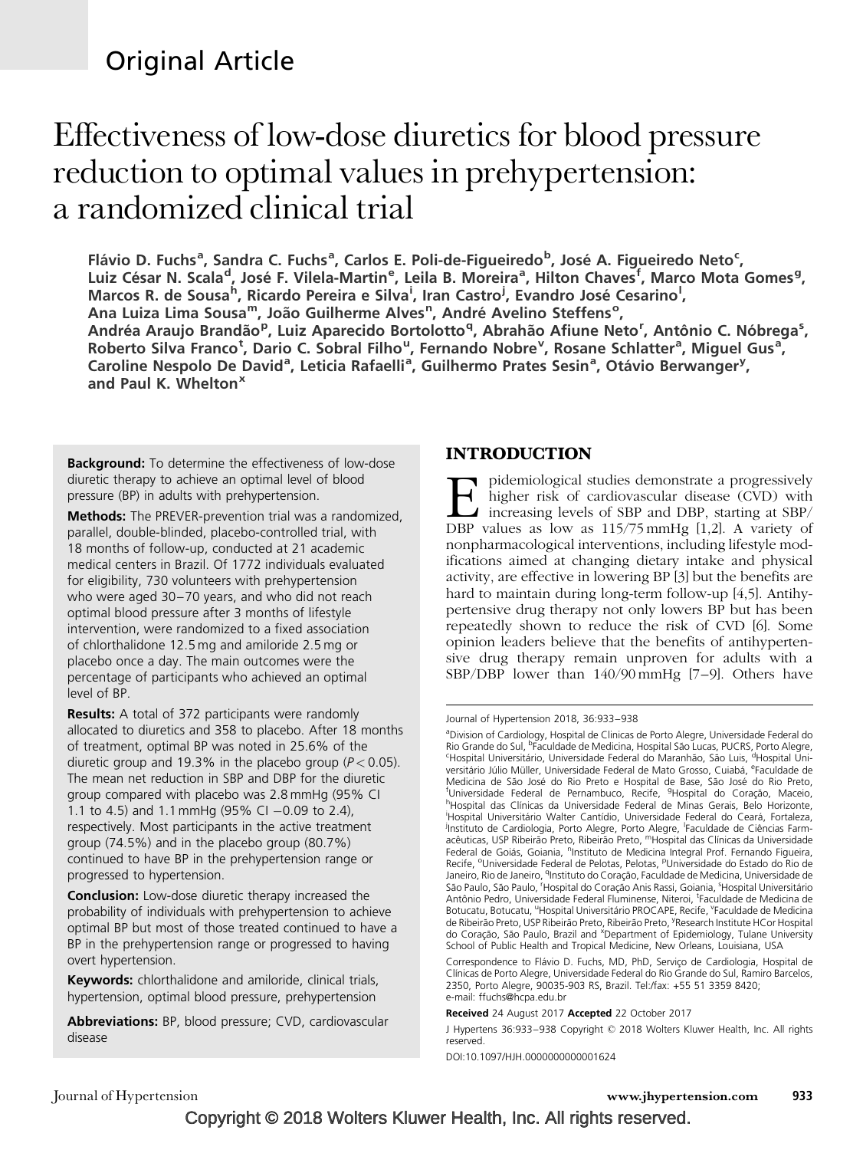# Original Article

# Effectiveness of low-dose diuretics for blood pressure reduction to optimal values in prehypertension: a randomized clinical trial

Flávio D. Fuchs<sup>a</sup>, Sandra C. Fuchs<sup>a</sup>, Carlos E. Poli-de-Figueiredo<sup>b</sup>, José A. Figueiredo Neto<sup>c</sup>, Luiz César N. Scala<sup>d</sup>, José F. Vilela-Martin<sup>e</sup>, Leila B. Moreira<sup>a</sup>, Hilton Chaves<sup>f</sup>, Marco Mota Gomes<sup>g</sup>, Marcos R. de Sousa<sup>h</sup>, Ricardo Pereira e Silva<sup>i</sup>, Iran Castro<sup>j</sup>, Evandro José Cesarino<sup>l</sup>, Ana Luiza Lima Sousa<sup>m</sup>, João Guilherme Alves<sup>n</sup>, André Avelino Steffens<sup>o</sup>, Andréa Araujo Brandão<sup>p</sup>, Luiz Aparecido Bortolotto<sup>q</sup>, Abrahão Afiune Neto<sup>r</sup>, Antônio C. Nóbrega<sup>s</sup>, Roberto Silva Franco<sup>t</sup>, Dario C. Sobral Filho<sup>u</sup>, Fernando Nobre<sup>v</sup>, Rosane Schlatter<sup>a</sup>, Miguel Gus<sup>a</sup>, Caroline Nespolo De David<sup>a</sup>, Leticia Rafaelli<sup>a</sup>, Guilhermo Prates Sesin<sup>a</sup>, Otávio Berwanger<sup>y</sup>, and Paul K. Whelton<sup>x</sup>

**Background:** To determine the effectiveness of low-dose diuretic therapy to achieve an optimal level of blood pressure (BP) in adults with prehypertension.

Methods: The PREVER-prevention trial was a randomized, parallel, double-blinded, placebo-controlled trial, with 18 months of follow-up, conducted at 21 academic medical centers in Brazil. Of 1772 individuals evaluated for eligibility, 730 volunteers with prehypertension who were aged 30–70 years, and who did not reach optimal blood pressure after 3 months of lifestyle intervention, were randomized to a fixed association of chlorthalidone 12.5 mg and amiloride 2.5 mg or placebo once a day. The main outcomes were the percentage of participants who achieved an optimal level of BP.

**Results:** A total of 372 participants were randomly allocated to diuretics and 358 to placebo. After 18 months of treatment, optimal BP was noted in 25.6% of the diuretic group and 19.3% in the placebo group ( $P < 0.05$ ). The mean net reduction in SBP and DBP for the diuretic group compared with placebo was 2.8 mmHg (95% CI 1.1 to 4.5) and 1.1 mmHg (95% CI  $-0.09$  to 2.4), respectively. Most participants in the active treatment group (74.5%) and in the placebo group (80.7%) continued to have BP in the prehypertension range or progressed to hypertension.

Conclusion: Low-dose diuretic therapy increased the probability of individuals with prehypertension to achieve optimal BP but most of those treated continued to have a BP in the prehypertension range or progressed to having overt hypertension.

Keywords: chlorthalidone and amiloride, clinical trials, hypertension, optimal blood pressure, prehypertension

**Abbreviations:** BP, blood pressure; CVD, cardiovascular disease

# INTRODUCTION

E pidemiological studies demonstrate a progressively<br>higher risk of cardiovascular disease (CVD) with<br>increasing levels of SBP and DBP, starting at SBP/<br>DBP values as low as 115/75 mmHg [1.2]. A variety of higher risk of cardiovascular disease (CVD) with DBP values as low as 115/75 mmHg [1,2]. A variety of nonpharmacological interventions, including lifestyle modifications aimed at changing dietary intake and physical activity, are effective in lowering BP [3] but the benefits are hard to maintain during long-term follow-up [4,5]. Antihypertensive drug therapy not only lowers BP but has been repeatedly shown to reduce the risk of CVD [6]. Some opinion leaders believe that the benefits of antihypertensive drug therapy remain unproven for adults with a SBP/DBP lower than 140/90 mmHg [7–9]. Others have

Received 24 August 2017 Accepted 22 October 2017

J Hypertens 36:933–938 Copyright © 2018 Wolters Kluwer Health, Inc. All rights reserved.

DOI:10.1097/HJH.0000000000001624

Journal of Hypertension www.jhypertension.com 933

Journal of Hypertension 2018, 36:933–938

<sup>&</sup>lt;sup>a</sup>Division of Cardiology, Hospital de Clinicas de Porto Alegre, Universidade Federal do Rio Grande do Sul, <sup>b</sup>Faculdade de Medicina, Hospital São Lucas, PUCRS, Porto Alegre,<br><sup>C</sup>Hospital Universitário, Universidade Federal do Maranhão, São Luis, <sup>d</sup>Hospital Uni-Hospital Universitário, Universidade Federal do Maranhão, São Luis, <sup>d</sup>Hospital Universitário Júlio Müller, Universidade Federal de Mato Grosso, Cuiabá, <sup>e</sup>Faculdade de Medicina de São José do Rio Preto e Hospital de Base, São José do Rio Preto, <sup>f</sup>Universidade Federal de Pernambuco, Recife, <sup>g</sup>Hospital do Coração, Maceio,<br><sup>h</sup>Hospital das Clínicas da Universidade Federal de Minas Gerais, Belo Horizonte <sup>h</sup>Hospital das Clínicas da Universidade Federal de Minas Gerais, Belo Horizonte, i<br>Hospital Universitário Walter Cantídio, Universidade Federal do Ceará, Fortaleza, Instituto de Cardiologia, Porto Alegre, Porto Alegre, <sup>I</sup>Faculdade de Ciências Farmacêuticas, USP Ribeirão Preto, Ribeirão Preto, <sup>m</sup>Hospital das Clínicas da Universidade Federal de Goiás, Goiania, <sup>n</sup>instituto de Medicina Integral Prof. Fernando Figueira, Recife, <sup>o</sup>Universidade Federal de Pelotas, Pelotas, <sup>p</sup>Universidade do Estado do Rio de Janeiro, Rio de Janeiro, <sup>q</sup>Instituto do Coração, Faculdade de Medicina, Universidade de São Paulo, São Paulo, <sup>r</sup>Hospital do Coração Anis Rassi, Goiania, <sup>s</sup>Hospital Universitário Antônio Pedro, Universidade Federal Fluminense, Niteroi, <sup>t</sup>Faculdade de Medicina de Botucatu, Botucatu, <sup>u</sup>Hospital Universitário PROCAPE, Recife, <sup>v</sup>Faculdade de Medicina de Ribeirão Preto, USP Ribeirão Preto, Ribeirão Preto, <sup>y</sup>Research Institute HCor Hospital do Coração, São Paulo, Brazil and <sup>x</sup>Department of Epidemiology, Tulane University School of Public Health and Tropical Medicine, New Orleans, Louisiana, USA

Correspondence to Flávio D. Fuchs, MD, PhD, Serviço de Cardiologia, Hospital de Clínicas de Porto Alegre, Universidade Federal do Rio Grande do Sul, Ramiro Barcelos, 2350, Porto Alegre, 90035-903 RS, Brazil. Tel:/fax: +55 51 3359 8420; e-mail: ffuchs@hcpa.edu.br

Copyright © 2018 Wolters Kluwer Health, Inc. All rights reserved.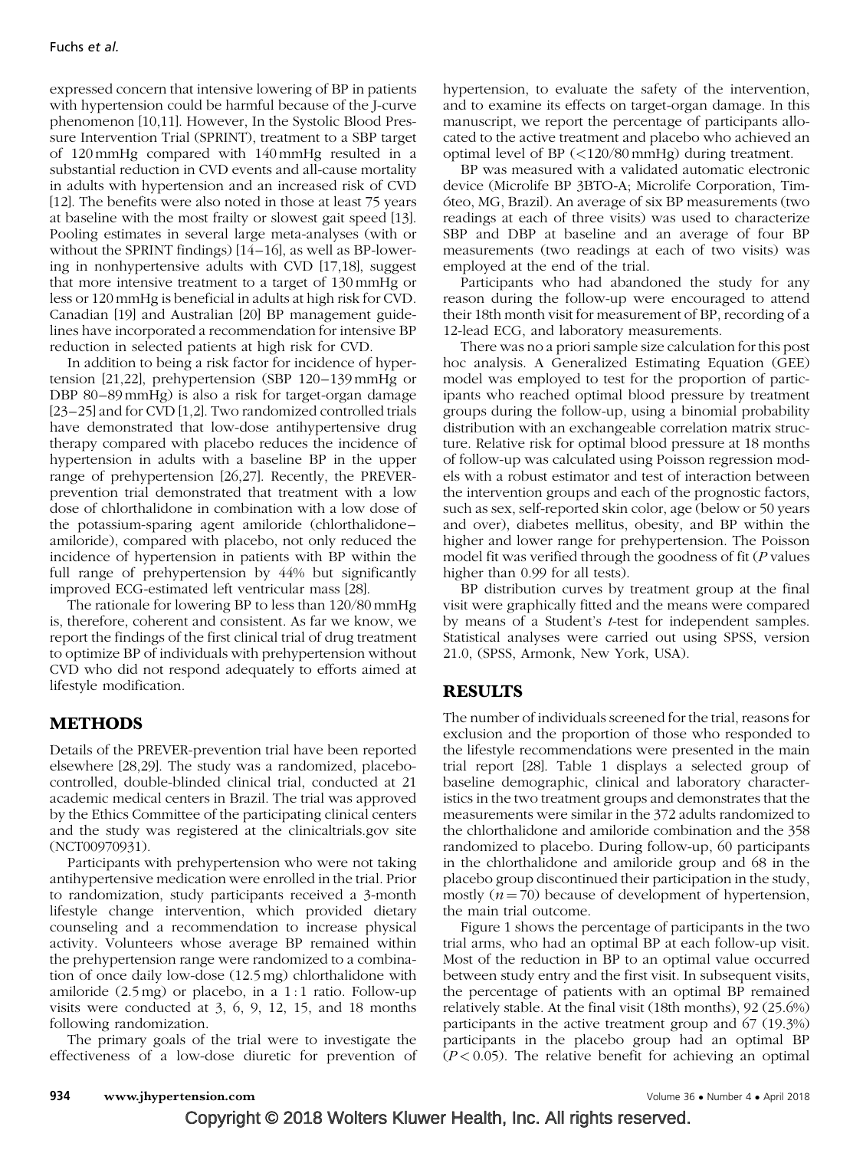expressed concern that intensive lowering of BP in patients with hypertension could be harmful because of the J-curve phenomenon [10,11]. However, In the Systolic Blood Pressure Intervention Trial (SPRINT), treatment to a SBP target of 120 mmHg compared with 140 mmHg resulted in a substantial reduction in CVD events and all-cause mortality in adults with hypertension and an increased risk of CVD [12]. The benefits were also noted in those at least 75 years at baseline with the most frailty or slowest gait speed [13]. Pooling estimates in several large meta-analyses (with or without the SPRINT findings) [14–16], as well as BP-lowering in nonhypertensive adults with CVD [17,18], suggest that more intensive treatment to a target of 130 mmHg or less or 120 mmHg is beneficial in adults at high risk for CVD. Canadian [19] and Australian [20] BP management guidelines have incorporated a recommendation for intensive BP reduction in selected patients at high risk for CVD.

In addition to being a risk factor for incidence of hypertension [21,22], prehypertension (SBP 120–139 mmHg or DBP 80–89mmHg) is also a risk for target-organ damage [23–25] and for CVD [1,2]. Two randomized controlled trials have demonstrated that low-dose antihypertensive drug therapy compared with placebo reduces the incidence of hypertension in adults with a baseline BP in the upper range of prehypertension [26,27]. Recently, the PREVERprevention trial demonstrated that treatment with a low dose of chlorthalidone in combination with a low dose of the potassium-sparing agent amiloride (chlorthalidone– amiloride), compared with placebo, not only reduced the incidence of hypertension in patients with BP within the full range of prehypertension by 44% but significantly improved ECG-estimated left ventricular mass [28].

The rationale for lowering BP to less than 120/80 mmHg is, therefore, coherent and consistent. As far we know, we report the findings of the first clinical trial of drug treatment to optimize BP of individuals with prehypertension without CVD who did not respond adequately to efforts aimed at lifestyle modification.

## METHODS

Details of the PREVER-prevention trial have been reported elsewhere [28,29]. The study was a randomized, placebocontrolled, double-blinded clinical trial, conducted at 21 academic medical centers in Brazil. The trial was approved by the Ethics Committee of the participating clinical centers and the study was registered at the clinicaltrials.gov site (NCT00970931).

Participants with prehypertension who were not taking antihypertensive medication were enrolled in the trial. Prior to randomization, study participants received a 3-month lifestyle change intervention, which provided dietary counseling and a recommendation to increase physical activity. Volunteers whose average BP remained within the prehypertension range were randomized to a combination of once daily low-dose (12.5 mg) chlorthalidone with amiloride  $(2.5 \text{ mg})$  or placebo, in a 1:1 ratio. Follow-up visits were conducted at 3, 6, 9, 12, 15, and 18 months following randomization.

The primary goals of the trial were to investigate the effectiveness of a low-dose diuretic for prevention of hypertension, to evaluate the safety of the intervention, and to examine its effects on target-organ damage. In this manuscript, we report the percentage of participants allocated to the active treatment and placebo who achieved an optimal level of BP (<120/80 mmHg) during treatment.

BP was measured with a validated automatic electronic device (Microlife BP 3BTO-A; Microlife Corporation, Timo´teo, MG, Brazil). An average of six BP measurements (two readings at each of three visits) was used to characterize SBP and DBP at baseline and an average of four BP measurements (two readings at each of two visits) was employed at the end of the trial.

Participants who had abandoned the study for any reason during the follow-up were encouraged to attend their 18th month visit for measurement of BP, recording of a 12-lead ECG, and laboratory measurements.

There was no a priori sample size calculation for this post hoc analysis. A Generalized Estimating Equation (GEE) model was employed to test for the proportion of participants who reached optimal blood pressure by treatment groups during the follow-up, using a binomial probability distribution with an exchangeable correlation matrix structure. Relative risk for optimal blood pressure at 18 months of follow-up was calculated using Poisson regression models with a robust estimator and test of interaction between the intervention groups and each of the prognostic factors, such as sex, self-reported skin color, age (below or 50 years and over), diabetes mellitus, obesity, and BP within the higher and lower range for prehypertension. The Poisson model fit was verified through the goodness of fit  $(P \text{ values})$ higher than 0.99 for all tests).

BP distribution curves by treatment group at the final visit were graphically fitted and the means were compared by means of a Student's t-test for independent samples. Statistical analyses were carried out using SPSS, version 21.0, (SPSS, Armonk, New York, USA).

## **RESULTS**

The number of individuals screened for the trial, reasons for exclusion and the proportion of those who responded to the lifestyle recommendations were presented in the main trial report [28]. Table 1 displays a selected group of baseline demographic, clinical and laboratory characteristics in the two treatment groups and demonstrates that the measurements were similar in the 372 adults randomized to the chlorthalidone and amiloride combination and the 358 randomized to placebo. During follow-up, 60 participants in the chlorthalidone and amiloride group and 68 in the placebo group discontinued their participation in the study, mostly  $(n = 70)$  because of development of hypertension, the main trial outcome.

Figure 1 shows the percentage of participants in the two trial arms, who had an optimal BP at each follow-up visit. Most of the reduction in BP to an optimal value occurred between study entry and the first visit. In subsequent visits, the percentage of patients with an optimal BP remained relatively stable. At the final visit (18th months), 92 (25.6%) participants in the active treatment group and 67 (19.3%) participants in the placebo group had an optimal BP  $(P<0.05)$ . The relative benefit for achieving an optimal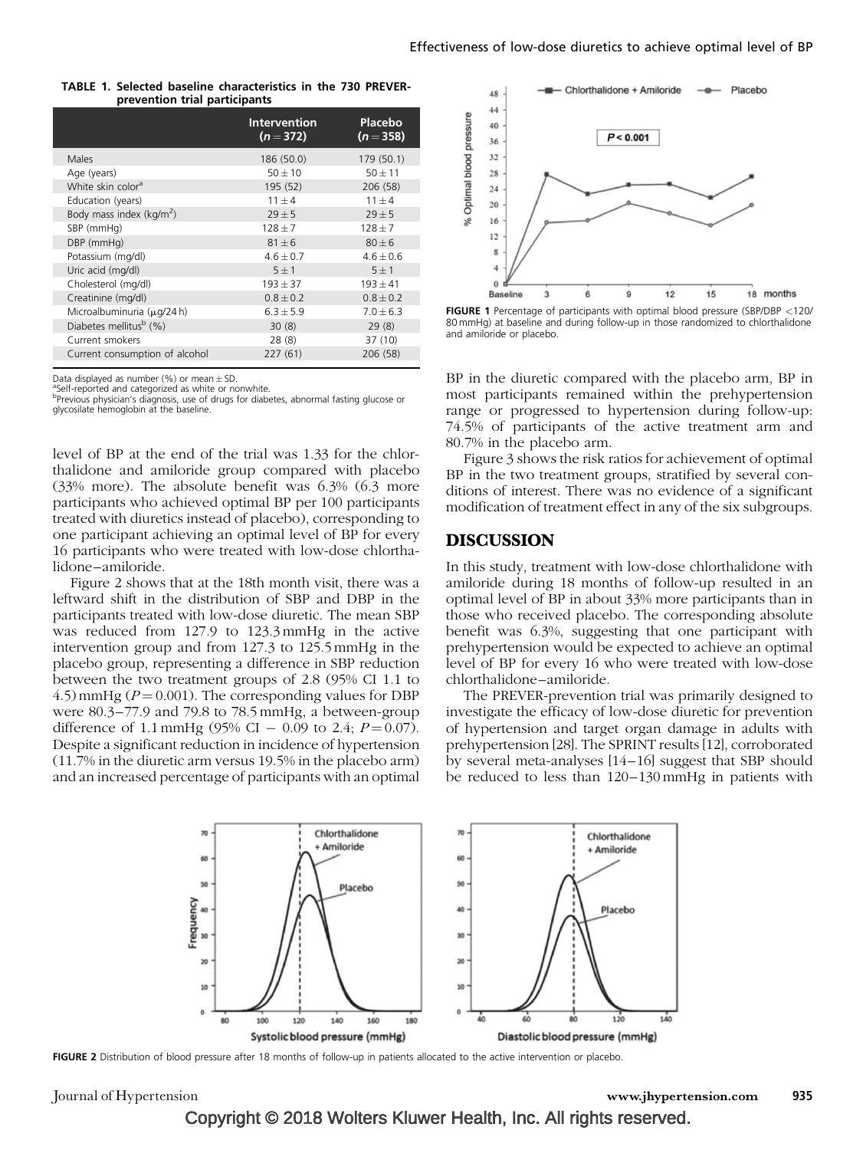|                               |  |  | TABLE 1. Selected baseline characteristics in the 730 PREVER- |  |  |  |
|-------------------------------|--|--|---------------------------------------------------------------|--|--|--|
| prevention trial participants |  |  |                                                               |  |  |  |

|                                    | <b>Intervention</b><br>$(n=372)$ | Placebo<br>$(n = 358)$ |
|------------------------------------|----------------------------------|------------------------|
| Males                              | 186 (50.0)                       | 179 (50.1)             |
| Age (years)                        | $50 \pm 10$                      | $50 \pm 11$            |
| White skin color <sup>a</sup>      | 195 (52)                         | 206 (58)               |
| Education (years)                  | $11 + 4$                         | $11 \pm 4$             |
| Body mass index ( $kg/m2$ )        | $29 + 5$                         | $29 + 5$               |
| SBP (mmHg)                         | $128 + 7$                        | $128 \pm 7$            |
| DBP (mmHg)                         | $81 + 6$                         | $80 + 6$               |
| Potassium (mg/dl)                  | $4.6 \pm 0.7$                    | $4.6 \pm 0.6$          |
| Uric acid (mg/dl)                  | $5 + 1$                          | $5 \pm 1$              |
| Cholesterol (mg/dl)                | $193 + 37$                       | $193 \pm 41$           |
| Creatinine (mg/dl)                 | $0.8 \pm 0.2$                    | $0.8 \pm 0.2$          |
| Microalbuminuria (µg/24 h)         | $6.3 \pm 5.9$                    | $7.0 \pm 6.3$          |
| Diabetes mellitus <sup>b</sup> (%) | 30(8)                            | 29(8)                  |
| Current smokers                    | 28 (8)                           | 37 (10)                |
| Current consumption of alcohol     | 227(61)                          | 206 (58)               |

Data displayed as number (%) or mean  $\pm$  SD.

<sup>a</sup>Self-reported and categorized as white or nonwhite.

bPrevious physician's diagnosis, use of drugs for diabetes, abnormal fasting glucose or glycosilate hemoglobin at the baseline.

level of BP at the end of the trial was 1.33 for the chlorthalidone and amiloride group compared with placebo (33% more). The absolute benefit was 6.3% (6.3 more participants who achieved optimal BP per 100 participants treated with diuretics instead of placebo), corresponding to one participant achieving an optimal level of BP for every 16 participants who were treated with low-dose chlorthalidone–amiloride.

Figure 2 shows that at the 18th month visit, there was a leftward shift in the distribution of SBP and DBP in the participants treated with low-dose diuretic. The mean SBP was reduced from 127.9 to 123.3 mmHg in the active intervention group and from 127.3 to 125.5 mmHg in the placebo group, representing a difference in SBP reduction between the two treatment groups of 2.8 (95% CI 1.1 to 4.5) mmHg ( $P = 0.001$ ). The corresponding values for DBP were 80.3–77.9 and 79.8 to 78.5 mmHg, a between-group difference of 1.1 mmHg (95% CI  $-$  0.09 to 2.4;  $P = 0.07$ ). Despite a significant reduction in incidence of hypertension (11.7% in the diuretic arm versus 19.5% in the placebo arm) and an increased percentage of participants with an optimal



FIGURE 1 Percentage of participants with optimal blood pressure (SBP/DBP <120/ 80 mmHg) at baseline and during follow-up in those randomized to chlorthalidone and amiloride or placebo.

BP in the diuretic compared with the placebo arm, BP in most participants remained within the prehypertension range or progressed to hypertension during follow-up: 74.5% of participants of the active treatment arm and 80.7% in the placebo arm.

Figure 3 shows the risk ratios for achievement of optimal BP in the two treatment groups, stratified by several conditions of interest. There was no evidence of a significant modification of treatment effect in any of the six subgroups.

#### DISCUSSION

In this study, treatment with low-dose chlorthalidone with amiloride during 18 months of follow-up resulted in an optimal level of BP in about 33% more participants than in those who received placebo. The corresponding absolute benefit was 6.3%, suggesting that one participant with prehypertension would be expected to achieve an optimal level of BP for every 16 who were treated with low-dose chlorthalidone–amiloride.

The PREVER-prevention trial was primarily designed to investigate the efficacy of low-dose diuretic for prevention of hypertension and target organ damage in adults with prehypertension [28]. The SPRINT results [12], corroborated by several meta-analyses [14–16] suggest that SBP should be reduced to less than 120–130 mmHg in patients with



FIGURE 2 Distribution of blood pressure after 18 months of follow-up in patients allocated to the active intervention or placebo.

Journal of Hypertension www.jhypertension.com 935

Copyright © 2018 Wolters Kluwer Health, Inc. All rights reserved.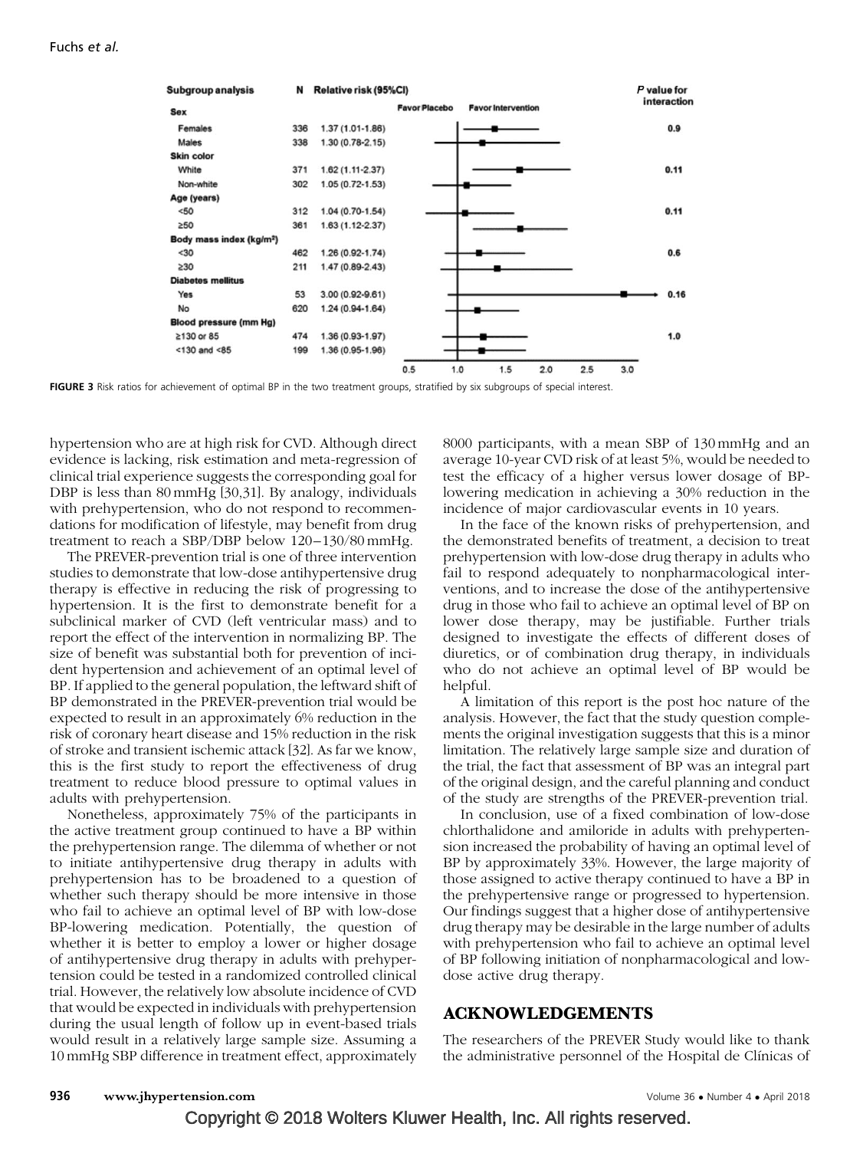

FIGURE 3 Risk ratios for achievement of optimal BP in the two treatment groups, stratified by six subgroups of special interest.

hypertension who are at high risk for CVD. Although direct evidence is lacking, risk estimation and meta-regression of clinical trial experience suggests the corresponding goal for DBP is less than 80mmHg [30,31]. By analogy, individuals with prehypertension, who do not respond to recommendations for modification of lifestyle, may benefit from drug treatment to reach a SBP/DBP below 120–130/80 mmHg.

The PREVER-prevention trial is one of three intervention studies to demonstrate that low-dose antihypertensive drug therapy is effective in reducing the risk of progressing to hypertension. It is the first to demonstrate benefit for a subclinical marker of CVD (left ventricular mass) and to report the effect of the intervention in normalizing BP. The size of benefit was substantial both for prevention of incident hypertension and achievement of an optimal level of BP. If applied to the general population, the leftward shift of BP demonstrated in the PREVER-prevention trial would be expected to result in an approximately 6% reduction in the risk of coronary heart disease and 15% reduction in the risk of stroke and transient ischemic attack [32]. As far we know, this is the first study to report the effectiveness of drug treatment to reduce blood pressure to optimal values in adults with prehypertension.

Nonetheless, approximately 75% of the participants in the active treatment group continued to have a BP within the prehypertension range. The dilemma of whether or not to initiate antihypertensive drug therapy in adults with prehypertension has to be broadened to a question of whether such therapy should be more intensive in those who fail to achieve an optimal level of BP with low-dose BP-lowering medication. Potentially, the question of whether it is better to employ a lower or higher dosage of antihypertensive drug therapy in adults with prehypertension could be tested in a randomized controlled clinical trial. However, the relatively low absolute incidence of CVD that would be expected in individuals with prehypertension during the usual length of follow up in event-based trials would result in a relatively large sample size. Assuming a 10mmHg SBP difference in treatment effect, approximately 8000 participants, with a mean SBP of 130 mmHg and an average 10-year CVD risk of at least 5%, would be needed to test the efficacy of a higher versus lower dosage of BPlowering medication in achieving a 30% reduction in the incidence of major cardiovascular events in 10 years.

In the face of the known risks of prehypertension, and the demonstrated benefits of treatment, a decision to treat prehypertension with low-dose drug therapy in adults who fail to respond adequately to nonpharmacological interventions, and to increase the dose of the antihypertensive drug in those who fail to achieve an optimal level of BP on lower dose therapy, may be justifiable. Further trials designed to investigate the effects of different doses of diuretics, or of combination drug therapy, in individuals who do not achieve an optimal level of BP would be helpful.

A limitation of this report is the post hoc nature of the analysis. However, the fact that the study question complements the original investigation suggests that this is a minor limitation. The relatively large sample size and duration of the trial, the fact that assessment of BP was an integral part of the original design, and the careful planning and conduct of the study are strengths of the PREVER-prevention trial.

In conclusion, use of a fixed combination of low-dose chlorthalidone and amiloride in adults with prehypertension increased the probability of having an optimal level of BP by approximately 33%. However, the large majority of those assigned to active therapy continued to have a BP in the prehypertensive range or progressed to hypertension. Our findings suggest that a higher dose of antihypertensive drug therapy may be desirable in the large number of adults with prehypertension who fail to achieve an optimal level of BP following initiation of nonpharmacological and lowdose active drug therapy.

#### ACKNOWLEDGEMENTS

The researchers of the PREVER Study would like to thank the administrative personnel of the Hospital de Clínicas of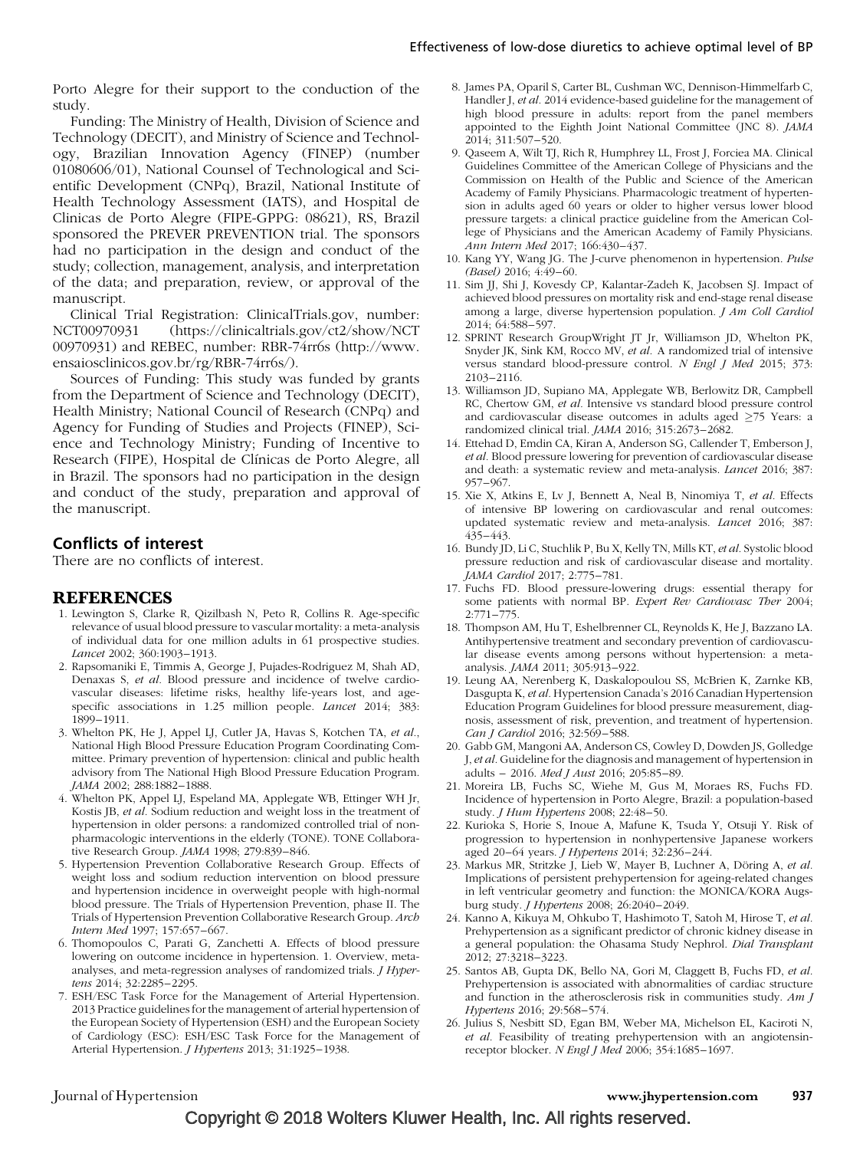Porto Alegre for their support to the conduction of the study.

Funding: The Ministry of Health, Division of Science and Technology (DECIT), and Ministry of Science and Technology, Brazilian Innovation Agency (FINEP) (number 01080606/01), National Counsel of Technological and Scientific Development (CNPq), Brazil, National Institute of Health Technology Assessment (IATS), and Hospital de Clinicas de Porto Alegre (FIPE-GPPG: 08621), RS, Brazil sponsored the PREVER PREVENTION trial. The sponsors had no participation in the design and conduct of the study; collection, management, analysis, and interpretation of the data; and preparation, review, or approval of the manuscript.

Clinical Trial Registration: ClinicalTrials.gov, number: NCT00970931 (https://clinicaltrials.gov/ct2/show/NCT 00970931) and REBEC, number: RBR-74rr6s (http://www. ensaiosclinicos.gov.br/rg/RBR-74rr6s/).

Sources of Funding: This study was funded by grants from the Department of Science and Technology (DECIT), Health Ministry; National Council of Research (CNPq) and Agency for Funding of Studies and Projects (FINEP), Science and Technology Ministry; Funding of Incentive to Research (FIPE), Hospital de Clínicas de Porto Alegre, all in Brazil. The sponsors had no participation in the design and conduct of the study, preparation and approval of the manuscript.

#### Conflicts of interest

There are no conflicts of interest.

#### REFERENCES

- 1. Lewington S, Clarke R, Qizilbash N, Peto R, Collins R. Age-specific relevance of usual blood pressure to vascular mortality: a meta-analysis of individual data for one million adults in 61 prospective studies. Lancet 2002; 360:1903–1913.
- 2. Rapsomaniki E, Timmis A, George J, Pujades-Rodriguez M, Shah AD, Denaxas S, et al. Blood pressure and incidence of twelve cardiovascular diseases: lifetime risks, healthy life-years lost, and agespecific associations in 1.25 million people. Lancet 2014; 383: 1899–1911.
- 3. Whelton PK, He J, Appel LJ, Cutler JA, Havas S, Kotchen TA, et al., National High Blood Pressure Education Program Coordinating Committee. Primary prevention of hypertension: clinical and public health advisory from The National High Blood Pressure Education Program. JAMA 2002; 288:1882–1888.
- 4. Whelton PK, Appel LJ, Espeland MA, Applegate WB, Ettinger WH Jr, Kostis JB, et al. Sodium reduction and weight loss in the treatment of hypertension in older persons: a randomized controlled trial of nonpharmacologic interventions in the elderly (TONE). TONE Collaborative Research Group. JAMA 1998; 279:839–846.
- 5. Hypertension Prevention Collaborative Research Group. Effects of weight loss and sodium reduction intervention on blood pressure and hypertension incidence in overweight people with high-normal blood pressure. The Trials of Hypertension Prevention, phase II. The Trials of Hypertension Prevention Collaborative Research Group. Arch Intern Med 1997; 157:657–667.
- 6. Thomopoulos C, Parati G, Zanchetti A. Effects of blood pressure lowering on outcome incidence in hypertension. 1. Overview, metaanalyses, and meta-regression analyses of randomized trials. *J Hyper*tens 2014; 32:2285–2295.
- 7. ESH/ESC Task Force for the Management of Arterial Hypertension. 2013 Practice guidelines for the management of arterial hypertension of the European Society of Hypertension (ESH) and the European Society of Cardiology (ESC): ESH/ESC Task Force for the Management of Arterial Hypertension. J Hypertens 2013; 31:1925–1938.
- 8. James PA, Oparil S, Carter BL, Cushman WC, Dennison-Himmelfarb C, Handler J, et al. 2014 evidence-based guideline for the management of high blood pressure in adults: report from the panel members appointed to the Eighth Joint National Committee (JNC 8). JAMA 2014; 311:507–520.
- 9. Qaseem A, Wilt TJ, Rich R, Humphrey LL, Frost J, Forciea MA. Clinical Guidelines Committee of the American College of Physicians and the Commission on Health of the Public and Science of the American Academy of Family Physicians. Pharmacologic treatment of hypertension in adults aged 60 years or older to higher versus lower blood pressure targets: a clinical practice guideline from the American College of Physicians and the American Academy of Family Physicians. Ann Intern Med 2017; 166:430–437.
- 10. Kang YY, Wang JG. The J-curve phenomenon in hypertension. Pulse (Basel) 2016; 4:49–60.
- 11. Sim JJ, Shi J, Kovesdy CP, Kalantar-Zadeh K, Jacobsen SJ. Impact of achieved blood pressures on mortality risk and end-stage renal disease among a large, diverse hypertension population. J Am Coll Cardiol 2014; 64:588–597.
- 12. SPRINT Research GroupWright JT Jr, Williamson JD, Whelton PK, Snyder JK, Sink KM, Rocco MV, et al. A randomized trial of intensive versus standard blood-pressure control. N Engl J Med 2015; 373: 2103–2116.
- 13. Williamson JD, Supiano MA, Applegate WB, Berlowitz DR, Campbell RC, Chertow GM, et al. Intensive vs standard blood pressure control and cardiovascular disease outcomes in adults aged  $\geq$ 75 Years: a randomized clinical trial. JAMA 2016; 315:2673–2682.
- 14. Ettehad D, Emdin CA, Kiran A, Anderson SG, Callender T, Emberson J, et al. Blood pressure lowering for prevention of cardiovascular disease and death: a systematic review and meta-analysis. Lancet 2016; 387: 957–967.
- 15. Xie X, Atkins E, Lv J, Bennett A, Neal B, Ninomiya T, et al. Effects of intensive BP lowering on cardiovascular and renal outcomes: updated systematic review and meta-analysis. Lancet 2016; 387: 435–443.
- 16. Bundy JD, Li C, Stuchlik P, Bu X, Kelly TN, Mills KT, et al. Systolic blood pressure reduction and risk of cardiovascular disease and mortality. JAMA Cardiol 2017; 2:775–781.
- 17. Fuchs FD. Blood pressure-lowering drugs: essential therapy for some patients with normal BP. Expert Rev Cardiovasc Ther 2004; 2:771–775.
- 18. Thompson AM, Hu T, Eshelbrenner CL, Reynolds K, He J, Bazzano LA. Antihypertensive treatment and secondary prevention of cardiovascular disease events among persons without hypertension: a metaanalysis. JAMA 2011; 305:913–922.
- 19. Leung AA, Nerenberg K, Daskalopoulou SS, McBrien K, Zarnke KB, Dasgupta K, et al. Hypertension Canada's 2016 Canadian Hypertension Education Program Guidelines for blood pressure measurement, diagnosis, assessment of risk, prevention, and treatment of hypertension. Can J Cardiol 2016; 32:569–588.
- 20. Gabb GM, Mangoni AA, Anderson CS, Cowley D, Dowden JS, Golledge J, et al. Guideline for the diagnosis and management of hypertension in adults – 2016. Med J Aust 2016; 205:85–89.
- 21. Moreira LB, Fuchs SC, Wiehe M, Gus M, Moraes RS, Fuchs FD. Incidence of hypertension in Porto Alegre, Brazil: a population-based study. J Hum Hypertens 2008; 22:48–50.
- 22. Kurioka S, Horie S, Inoue A, Mafune K, Tsuda Y, Otsuji Y. Risk of progression to hypertension in nonhypertensive Japanese workers aged 20–64 years. J Hypertens 2014; 32:236–244.
- 23. Markus MR, Stritzke J, Lieb W, Mayer B, Luchner A, Döring A, et al. Implications of persistent prehypertension for ageing-related changes in left ventricular geometry and function: the MONICA/KORA Augsburg study. J Hypertens 2008; 26:2040–2049.
- 24. Kanno A, Kikuya M, Ohkubo T, Hashimoto T, Satoh M, Hirose T, et al. Prehypertension as a significant predictor of chronic kidney disease in a general population: the Ohasama Study Nephrol. Dial Transplant 2012; 27:3218–3223.
- 25. Santos AB, Gupta DK, Bello NA, Gori M, Claggett B, Fuchs FD, et al. Prehypertension is associated with abnormalities of cardiac structure and function in the atherosclerosis risk in communities study. Am J Hypertens 2016; 29:568–574.
- 26. Julius S, Nesbitt SD, Egan BM, Weber MA, Michelson EL, Kaciroti N, et al. Feasibility of treating prehypertension with an angiotensinreceptor blocker. N Engl J Med 2006; 354:1685–1697.

#### Journal of Hypertension www.jhypertension.com 937

Copyright © 2018 Wolters Kluwer Health, Inc. All rights reserved.